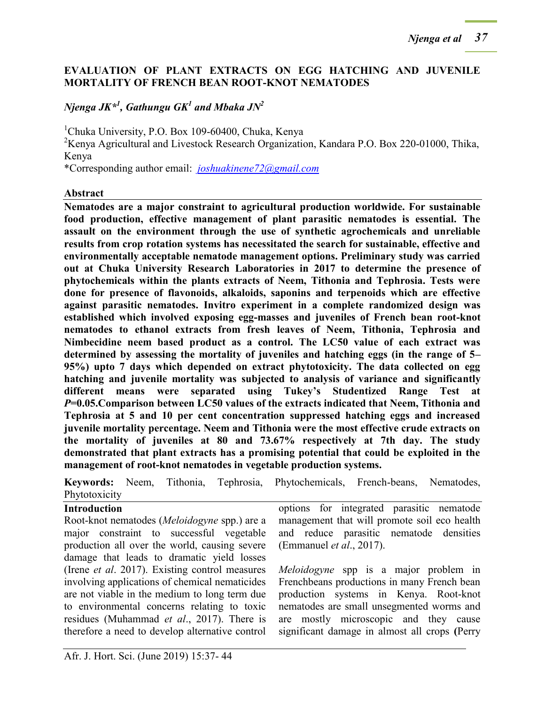### **EVALUATION OF PLANT EXTRACTS ON EGG HATCHING AND JUVENILE MORTALITY OF FRENCH BEAN ROOT-KNOT NEMATODES**

# $N$ jenga JK $^{\ast l}$ , Gathungu GK $^l$  and Mbaka JN $^2$

 $1$ Chuka University, P.O. Box 109-60400, Chuka, Kenya

<sup>2</sup>Kenya Agricultural and Livestock Research Organization, Kandara P.O. Box 220-01000, Thika, Kenya

\*Corresponding author email: *[joshuakinene72@gmail.com](mailto:joshuakinene72@gmail.com)*

#### **Abstract**

**Nematodes are a major constraint to agricultural production worldwide. For sustainable food production, effective management of plant parasitic nematodes is essential. The assault on the environment through the use of synthetic agrochemicals and unreliable results from crop rotation systems has necessitated the search for sustainable, effective and environmentally acceptable nematode management options. Preliminary study was carried out at Chuka University Research Laboratories in 2017 to determine the presence of phytochemicals within the plants extracts of Neem, Tithonia and Tephrosia. Tests were done for presence of flavonoids, alkaloids, saponins and terpenoids which are effective against parasitic nematodes. Invitro experiment in a complete randomized design was established which involved exposing egg-masses and juveniles of French bean root-knot nematodes to ethanol extracts from fresh leaves of Neem, Tithonia, Tephrosia and Nimbecidine neem based product as a control. The LC50 value of each extract was determined by assessing the mortality of juveniles and hatching eggs (in the range of 5– 95%) upto 7 days which depended on extract phytotoxicity. The data collected on egg hatching and juvenile mortality was subjected to analysis of variance and significantly different means were separated using Tukey's Studentized Range Test at**  *P***=0.05.Comparison between LC50 values of the extracts indicated that Neem, Tithonia and Tephrosia at 5 and 10 per cent concentration suppressed hatching eggs and increased juvenile mortality percentage. Neem and Tithonia were the most effective crude extracts on the mortality of juveniles at 80 and 73.67% respectively at 7th day. The study demonstrated that plant extracts has a promising potential that could be exploited in the management of root-knot nematodes in vegetable production systems.**

**Keywords:** Neem, Tithonia, Tephrosia, Phytochemicals, French-beans, Nematodes, Phytotoxicity

#### **Introduction**

Root-knot nematodes (*Meloidogyne* spp.) are a major constraint to successful vegetable production all over the world, causing severe damage that leads to dramatic yield losses (Irene *et al*. 2017). Existing control measures involving applications of chemical nematicides are not viable in the medium to long term due to environmental concerns relating to toxic residues (Muhammad *et al*., 2017). There is therefore a need to develop alternative control

options for integrated parasitic nematode management that will promote soil eco health and reduce parasitic nematode densities (Emmanuel *et al*., 2017).

*Meloidogyne* spp is a major problem in Frenchbeans productions in many French bean production systems in Kenya. Root-knot nematodes are small unsegmented worms and are mostly microscopic and they cause significant damage in almost all crops **(**Perry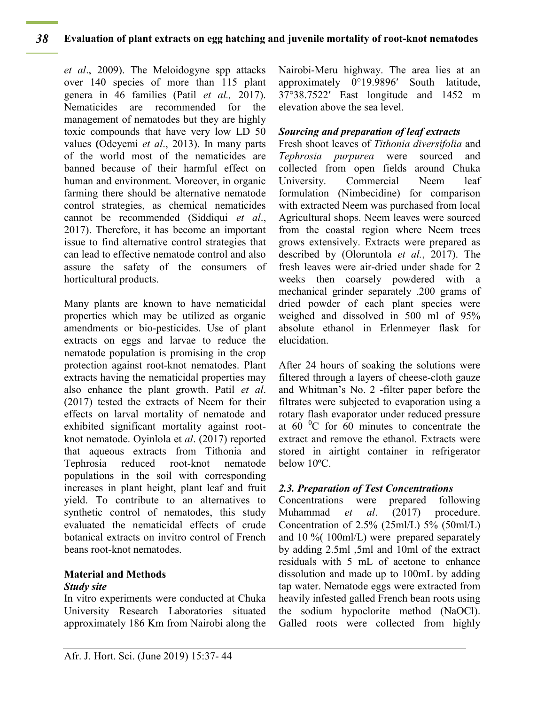*et al*., 2009). The Meloidogyne spp attacks over 140 species of more than 115 plant genera in 46 families (Patil *et al.,* 2017). Nematicides are recommended for the management of nematodes but they are highly toxic compounds that have very low LD 50 values **(**Odeyemi *et al*., 2013). In many parts of the world most of the nematicides are banned because of their harmful effect on human and environment. Moreover, in organic farming there should be alternative nematode control strategies, as chemical nematicides cannot be recommended (Siddiqui *et al*., 2017). Therefore, it has become an important issue to find alternative control strategies that can lead to effective nematode control and also assure the safety of the consumers of horticultural products.

Many plants are known to have nematicidal properties which may be utilized as organic amendments or bio-pesticides. Use of plant extracts on eggs and larvae to reduce the nematode population is promising in the crop protection against root-knot nematodes. Plant extracts having the nematicidal properties may also enhance the plant growth. Patil *et al*. (2017) tested the extracts of Neem for their effects on larval mortality of nematode and exhibited significant mortality against rootknot nematode. Oyinlola et *al*. (2017) reported that aqueous extracts from Tithonia and Tephrosia reduced root-knot nematode populations in the soil with corresponding increases in plant height, plant leaf and fruit yield. To contribute to an alternatives to synthetic control of nematodes, this study evaluated the nematicidal effects of crude botanical extracts on invitro control of French beans root-knot nematodes.

## **Material and Methods** *Study site*

In vitro experiments were conducted at Chuka University Research Laboratories situated approximately 186 Km from Nairobi along the Nairobi-Meru highway. The area lies at an approximately 0°19.9896′ South latitude, 37°38.7522′ East longitude and 1452 m elevation above the sea level.

## *Sourcing and preparation of leaf extracts*

Fresh shoot leaves of *Tithonia diversifolia* and *Tephrosia purpurea* were sourced and collected from open fields around Chuka University. Commercial Neem leaf formulation (Nimbecidine) for comparison with extracted Neem was purchased from local Agricultural shops. Neem leaves were sourced from the coastal region where Neem trees grows extensively. Extracts were prepared as described by (Oloruntola *et al.*, 2017). The fresh leaves were air-dried under shade for 2 weeks then coarsely powdered with a mechanical grinder separately .200 grams of dried powder of each plant species were weighed and dissolved in 500 ml of 95% absolute ethanol in Erlenmeyer flask for elucidation.

After 24 hours of soaking the solutions were filtered through a layers of cheese-cloth gauze and Whitman's No. 2 -filter paper before the filtrates were subjected to evaporation using a rotary flash evaporator under reduced pressure at  $60<sup>0</sup>C$  for 60 minutes to concentrate the extract and remove the ethanol. Extracts were stored in airtight container in refrigerator below 10ºC.

# *2.3. Preparation of Test Concentrations*

Concentrations were prepared following Muhammad *et al*. (2017) procedure. Concentration of  $2.5\%$  ( $25 \text{ml/L}$ )  $5\%$  ( $50 \text{ml/L}$ ) and 10 %( 100ml/L) were prepared separately by adding 2.5ml ,5ml and 10ml of the extract residuals with 5 mL of acetone to enhance dissolution and made up to 100mL by adding tap water. Nematode eggs were extracted from heavily infested galled French bean roots using the sodium hypoclorite method (NaOCl). Galled roots were collected from highly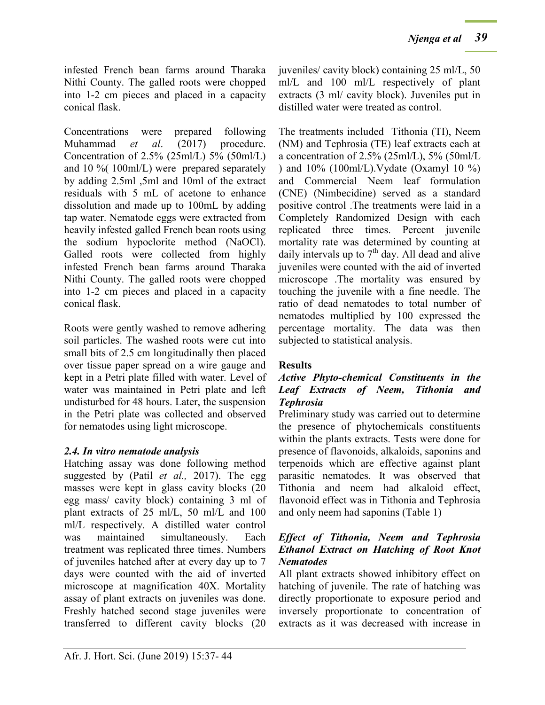infested French bean farms around Tharaka Nithi County. The galled roots were chopped into 1-2 cm pieces and placed in a capacity conical flask.

Concentrations were prepared following Muhammad *et al*. (2017) procedure. Concentration of 2.5% (25ml/L) 5% (50ml/L) and 10 %( 100ml/L) were prepared separately by adding 2.5ml ,5ml and 10ml of the extract residuals with 5 mL of acetone to enhance dissolution and made up to 100mL by adding tap water. Nematode eggs were extracted from heavily infested galled French bean roots using the sodium hypoclorite method (NaOCl). Galled roots were collected from highly infested French bean farms around Tharaka Nithi County. The galled roots were chopped into 1-2 cm pieces and placed in a capacity conical flask.

Roots were gently washed to remove adhering soil particles. The washed roots were cut into small bits of 2.5 cm longitudinally then placed over tissue paper spread on a wire gauge and kept in a Petri plate filled with water. Level of water was maintained in Petri plate and left undisturbed for 48 hours. Later, the suspension in the Petri plate was collected and observed for nematodes using light microscope.

## *2.4. In vitro nematode analysis*

Hatching assay was done following method suggested by (Patil *et al.,* 2017). The egg masses were kept in glass cavity blocks (20 egg mass/ cavity block) containing 3 ml of plant extracts of 25 ml/L, 50 ml/L and 100 ml/L respectively. A distilled water control was maintained simultaneously. Each treatment was replicated three times. Numbers of juveniles hatched after at every day up to 7 days were counted with the aid of inverted microscope at magnification 40X. Mortality assay of plant extracts on juveniles was done. Freshly hatched second stage juveniles were transferred to different cavity blocks (20

juveniles/ cavity block) containing 25 ml/L, 50 ml/L and 100 ml/L respectively of plant extracts (3 ml/ cavity block). Juveniles put in distilled water were treated as control.

The treatments included Tithonia (TI), Neem (NM) and Tephrosia (TE) leaf extracts each at a concentration of 2.5% (25ml/L), 5% (50ml/L ) and 10% (100ml/L).Vydate (Oxamyl 10 %) and Commercial Neem leaf formulation (CNE) (Nimbecidine) served as a standard positive control .The treatments were laid in a Completely Randomized Design with each replicated three times. Percent juvenile mortality rate was determined by counting at daily intervals up to  $7<sup>th</sup>$  day. All dead and alive juveniles were counted with the aid of inverted microscope .The mortality was ensured by touching the juvenile with a fine needle. The ratio of dead nematodes to total number of nematodes multiplied by 100 expressed the percentage mortality. The data was then subjected to statistical analysis.

# **Results**

## *Active Phyto-chemical Constituents in the Leaf Extracts of Neem, Tithonia and Tephrosia*

Preliminary study was carried out to determine the presence of phytochemicals constituents within the plants extracts. Tests were done for presence of flavonoids, alkaloids, saponins and terpenoids which are effective against plant parasitic nematodes. It was observed that Tithonia and neem had alkaloid effect, flavonoid effect was in Tithonia and Tephrosia and only neem had saponins (Table 1)

### *Effect of Tithonia, Neem and Tephrosia Ethanol Extract on Hatching of Root Knot Nematodes*

All plant extracts showed inhibitory effect on hatching of juvenile. The rate of hatching was directly proportionate to exposure period and inversely proportionate to concentration of extracts as it was decreased with increase in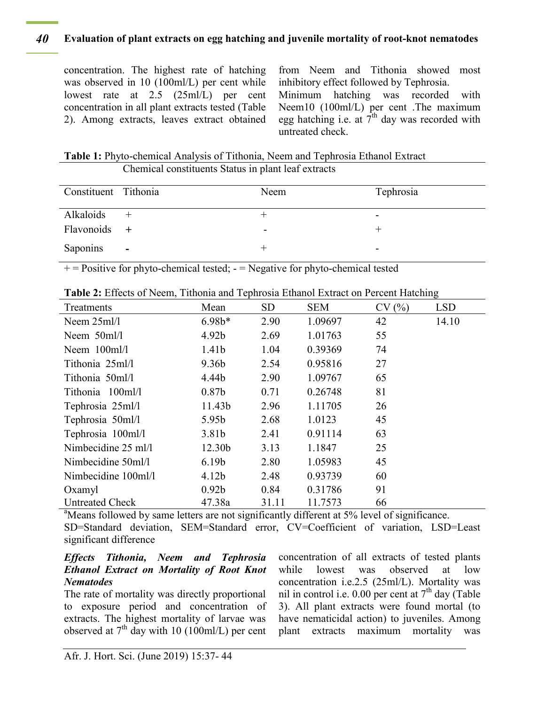#### **Evaluation of plant extracts on egg hatching and juvenile mortality of root-knot nematodes** *40*

concentration. The highest rate of hatching was observed in 10 (100ml/L) per cent while lowest rate at 2.5 (25ml/L) per cent concentration in all plant extracts tested (Table 2). Among extracts, leaves extract obtained from Neem and Tithonia showed most inhibitory effect followed by Tephrosia.

Minimum hatching was recorded with Neem10 (100ml/L) per cent .The maximum egg hatching i.e. at  $7^{th}$  day was recorded with untreated check.

**Table 1:** Phyto-chemical Analysis of Tithonia, Neem and Tephrosia Ethanol Extract Chemical constituents Status in plant leaf extracts

| Constituent Tithonia |        | Neem | Tephrosia |
|----------------------|--------|------|-----------|
| Alkaloids            |        |      | -         |
| Flavonoids +         |        | -    |           |
| Saponins             | $\sim$ |      | -         |

 $+$  = Positive for phyto-chemical tested;  $-$  = Negative for phyto-chemical tested

|                        |                    |           |            |       | O          |
|------------------------|--------------------|-----------|------------|-------|------------|
| Treatments             | Mean               | <b>SD</b> | <b>SEM</b> | CV(%) | <b>LSD</b> |
| Neem $25ml/l$          | $6.98b*$           | 2.90      | 1.09697    | 42    | 14.10      |
| Neem $50m/1$           | 4.92 <sub>b</sub>  | 2.69      | 1.01763    | 55    |            |
| Neem 100ml/l           | 1.41 <sub>b</sub>  | 1.04      | 0.39369    | 74    |            |
| Tithonia 25ml/l        | 9.36 <sub>b</sub>  | 2.54      | 0.95816    | 27    |            |
| Tithonia 50ml/l        | 4.44b              | 2.90      | 1.09767    | 65    |            |
| Tithonia 100ml/l       | 0.87 <sub>b</sub>  | 0.71      | 0.26748    | 81    |            |
| Tephrosia 25ml/l       | 11.43b             | 2.96      | 1.11705    | 26    |            |
| Tephrosia 50ml/l       | 5.95 <sub>b</sub>  | 2.68      | 1.0123     | 45    |            |
| Tephrosia 100ml/l      | 3.81 <sub>b</sub>  | 2.41      | 0.91114    | 63    |            |
| Nimbecidine 25 ml/l    | 12.30 <sub>b</sub> | 3.13      | 1.1847     | 25    |            |
| Nimbecidine 50ml/l     | 6.19 <sub>b</sub>  | 2.80      | 1.05983    | 45    |            |
| Nimbecidine 100ml/l    | 4.12 <sub>b</sub>  | 2.48      | 0.93739    | 60    |            |
| Oxamyl                 | 0.92 <sub>b</sub>  | 0.84      | 0.31786    | 91    |            |
| <b>Untreated Check</b> | 47.38a             | 31.11     | 11.7573    | 66    |            |

**Table 2:** Effects of Neem, Tithonia and Tephrosia Ethanol Extract on Percent Hatching

<sup>a</sup>Means followed by same letters are not significantly different at 5% level of significance. SD=Standard deviation, SEM=Standard error, CV=Coefficient of variation, LSD=Least significant difference

#### *Effects Tithonia, Neem and Tephrosia Ethanol Extract on Mortality of Root Knot Nematodes*

The rate of mortality was directly proportional to exposure period and concentration of extracts. The highest mortality of larvae was observed at  $7<sup>th</sup>$  day with 10 (100ml/L) per cent concentration of all extracts of tested plants while lowest was observed at low concentration i.e.2.5 (25ml/L). Mortality was nil in control i.e. 0.00 per cent at  $7<sup>th</sup>$  day (Table 3). All plant extracts were found mortal (to have nematicidal action) to juveniles. Among plant extracts maximum mortality was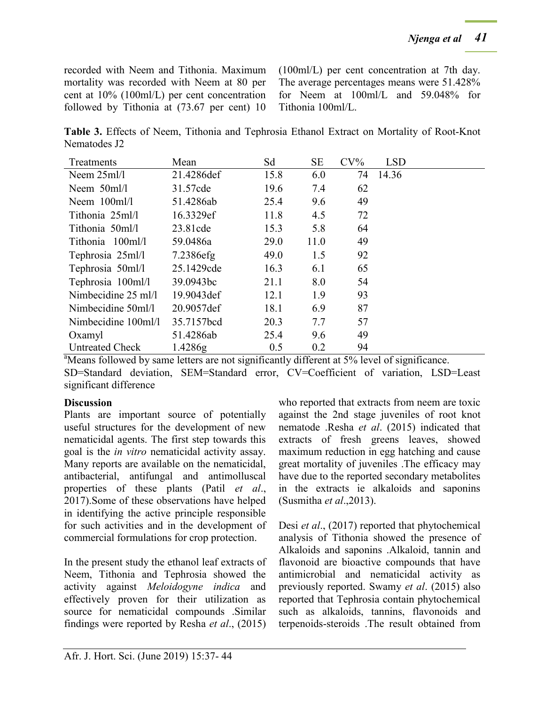recorded with Neem and Tithonia. Maximum mortality was recorded with Neem at 80 per cent at 10% (100ml/L) per cent concentration followed by Tithonia at (73.67 per cent) 10 (100ml/L) per cent concentration at 7th day. The average percentages means were 51.428% for Neem at 100ml/L and 59.048% for Tithonia 100ml/L.

**Table 3.** Effects of Neem, Tithonia and Tephrosia Ethanol Extract on Mortality of Root-Knot Nematodes J2

| Treatments                    | Mean        | Sd   | <b>SE</b> | $CV\%$ | <b>LSD</b> |  |
|-------------------------------|-------------|------|-----------|--------|------------|--|
| Neem $25ml/l$                 | 21.4286def  | 15.8 | 6.0       | 74     | 14.36      |  |
| Neem $50$ ml/l                | 31.57cde    | 19.6 | 7.4       | 62     |            |  |
| Neem $100$ ml/l               | 51.4286ab   | 25.4 | 9.6       | 49     |            |  |
| Tithonia 25ml/l               | 16.3329ef   | 11.8 | 4.5       | 72     |            |  |
| Tithonia 50ml/l               | 23.81cde    | 15.3 | 5.8       | 64     |            |  |
| Tithonia 100ml/l              | 59.0486a    | 29.0 | 11.0      | 49     |            |  |
| Tephrosia 25ml/l              | 7.2386efg   | 49.0 | 1.5       | 92     |            |  |
| Tephrosia 50ml/l              | 25.1429cde  | 16.3 | 6.1       | 65     |            |  |
| Tephrosia 100ml/l             | 39.0943bc   | 21.1 | 8.0       | 54     |            |  |
| Nimbecidine $25 \text{ ml/l}$ | 19.9043 def | 12.1 | 1.9       | 93     |            |  |
| Nimbecidine 50ml/l            | 20.9057def  | 18.1 | 6.9       | 87     |            |  |
| Nimbecidine 100ml/l           | 35.7157bcd  | 20.3 | 7.7       | 57     |            |  |
| Oxamyl                        | 51.4286ab   | 25.4 | 9.6       | 49     |            |  |
| <b>Untreated Check</b>        | 1.4286g     | 0.5  | 0.2       | 94     |            |  |

<sup>a</sup>Means followed by same letters are not significantly different at 5% level of significance. SD=Standard deviation, SEM=Standard error, CV=Coefficient of variation, LSD=Least significant difference

## **Discussion**

Plants are important source of potentially useful structures for the development of new nematicidal agents. The first step towards this goal is the *in vitro* nematicidal activity assay. Many reports are available on the nematicidal, antibacterial, antifungal and antimolluscal properties of these plants (Patil *et al*., 2017).Some of these observations have helped in identifying the active principle responsible for such activities and in the development of commercial formulations for crop protection.

In the present study the ethanol leaf extracts of Neem, Tithonia and Tephrosia showed the activity against *Meloidogyne indica* and effectively proven for their utilization as source for nematicidal compounds .Similar findings were reported by Resha *et al*., (2015) who reported that extracts from neem are toxic against the 2nd stage juveniles of root knot nematode .Resha *et al*. (2015) indicated that extracts of fresh greens leaves, showed maximum reduction in egg hatching and cause great mortality of juveniles .The efficacy may have due to the reported secondary metabolites in the extracts ie alkaloids and saponins (Susmitha *et al*.,2013).

Desi *et al*., (2017) reported that phytochemical analysis of Tithonia showed the presence of Alkaloids and saponins .Alkaloid, tannin and flavonoid are bioactive compounds that have antimicrobial and nematicidal activity as previously reported. Swamy *et al*. (2015) also reported that Tephrosia contain phytochemical such as alkaloids, tannins, flavonoids and terpenoids-steroids .The result obtained from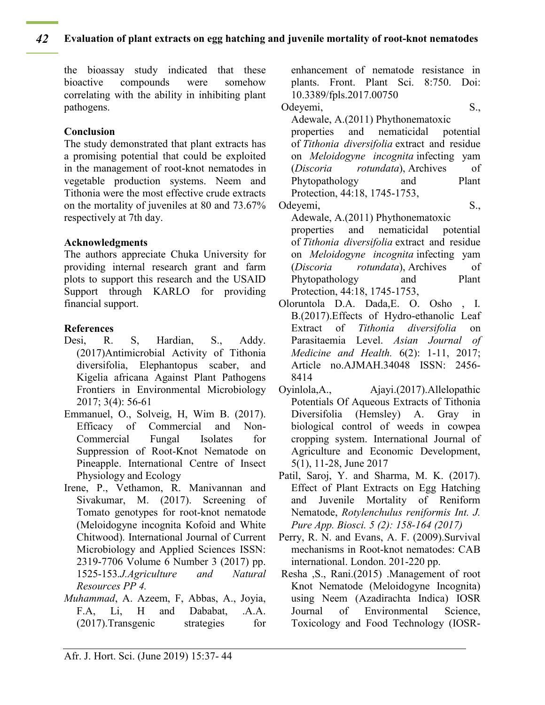#### **Evaluation of plant extracts on egg hatching and juvenile mortality of root-knot nematodes** *42*

the bioassay study indicated that these bioactive compounds were somehow correlating with the ability in inhibiting plant pathogens.

#### **Conclusion**

The study demonstrated that plant extracts has a promising potential that could be exploited in the management of root-knot nematodes in vegetable production systems. Neem and Tithonia were the most effective crude extracts on the mortality of juveniles at 80 and 73.67% respectively at 7th day.

#### **Acknowledgments**

The authors appreciate Chuka University for providing internal research grant and farm plots to support this research and the USAID Support through KARLO for providing financial support.

#### **References**

- Desi, R. S, Hardian, S., Addy. (2017)Antimicrobial Activity of Tithonia diversifolia, Elephantopus scaber, and Kigelia africana Against Plant Pathogens Frontiers in Environmental Microbiology 2017; 3(4): 56-61
- Emmanuel, O., Solveig, H, Wim B. (2017). Efficacy of Commercial and Non-Commercial Fungal Isolates for Suppression of Root-Knot Nematode on Pineapple. International Centre of Insect Physiology and Ecology
- Irene, P., Vethamon, R. Manivannan and Sivakumar, M. (2017). Screening of Tomato genotypes for root-knot nematode (Meloidogyne incognita Kofoid and White Chitwood). International Journal of Current Microbiology and Applied Sciences ISSN: 2319-7706 Volume 6 Number 3 (2017) pp. 1525-153*.J.Agriculture and Natural Resources PP 4.*
- *Muhammad*, A. Azeem, F, Abbas, A., Joyia, F.A, Li, H and Dababat, .A.A. (2017).Transgenic strategies for

enhancement of nematode resistance in plants. Front. Plant Sci. 8:750. Doi: 10.3389/fpls.2017.00750

Odeyemi, S.,

Adewale, A.(2011) Phythonematoxic

properties and nematicidal potential of *Tithonia diversifolia* extract and residue on *Meloidogyne incognita* infecting yam (*Discoria rotundata*), Archives of Phytopathology and Plant Protection, 44:18, 1745-1753,

Odeyemi, S., Adewale, A.(2011) Phythonematoxic properties and nematicidal potential of *Tithonia diversifolia* extract and residue on *Meloidogyne incognita* infecting yam (*Discoria rotundata*), Archives of Phytopathology and Plant Protection, 44:18, 1745-1753,

- Oloruntola D.A. Dada,E. O. Osho , I. B.(2017).Effects of Hydro-ethanolic Leaf Extract of *Tithonia diversifolia* on Parasitaemia Level. *Asian Journal of Medicine and Health.* 6(2): 1-11, 2017; Article no.AJMAH.34048 ISSN: 2456- 8414
- Oyinlola,A., Ajayi.(2017).Allelopathic Potentials Of Aqueous Extracts of Tithonia Diversifolia (Hemsley) A. Gray in biological control of weeds in cowpea cropping system. International Journal of Agriculture and Economic Development, 5(1), 11-28, June 2017
- Patil, Saroj, Y. and Sharma, M. K. (2017). Effect of Plant Extracts on Egg Hatching and Juvenile Mortality of Reniform Nematode, *Rotylenchulus reniformis Int. J. Pure App. Biosci. 5 (2): 158-164 (2017)*
- Perry, R. N. and Evans, A. F. (2009).Survival mechanisms in Root-knot nematodes: CAB international. London. 201-220 pp.
- Resha ,S., Rani.(2015) .Management of root Knot Nematode (Meloidogyne Incognita) using Neem (Azadirachta Indica) IOSR Journal of Environmental Science, Toxicology and Food Technology (IOSR-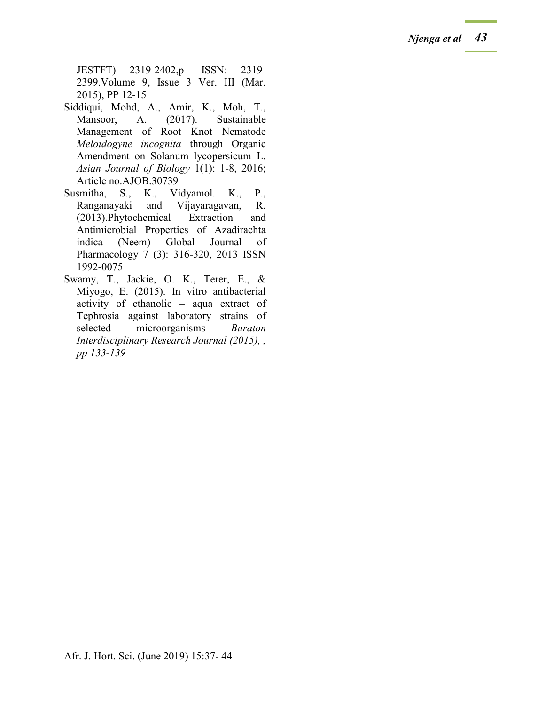JESTFT) 2319-2402,p- ISSN: 2319- 2399.Volume 9, Issue 3 Ver. III (Mar. 2015), PP 12-15

- Siddiqui, Mohd, A., Amir, K., Moh, T., Mansoor, A. (2017). Sustainable Management of Root Knot Nematode *Meloidogyne incognita* through Organic Amendment on Solanum lycopersicum L. *Asian Journal of Biology* 1(1): 1-8, 2016; Article no.AJOB.30739
- Susmitha, S., K., Vidyamol. K., P., Ranganayaki and Vijayaragavan, R. (2013).Phytochemical Extraction and Antimicrobial Properties of Azadirachta indica (Neem) Global Journal of Pharmacology 7 (3): 316-320, 2013 ISSN 1992-0075
- Swamy, T., Jackie, O. K., Terer, E., & Miyogo, E. (2015). In vitro antibacterial activity of ethanolic – aqua extract of Tephrosia against laboratory strains of selected microorganisms *Baraton Interdisciplinary Research Journal (2015), , pp 133-139*